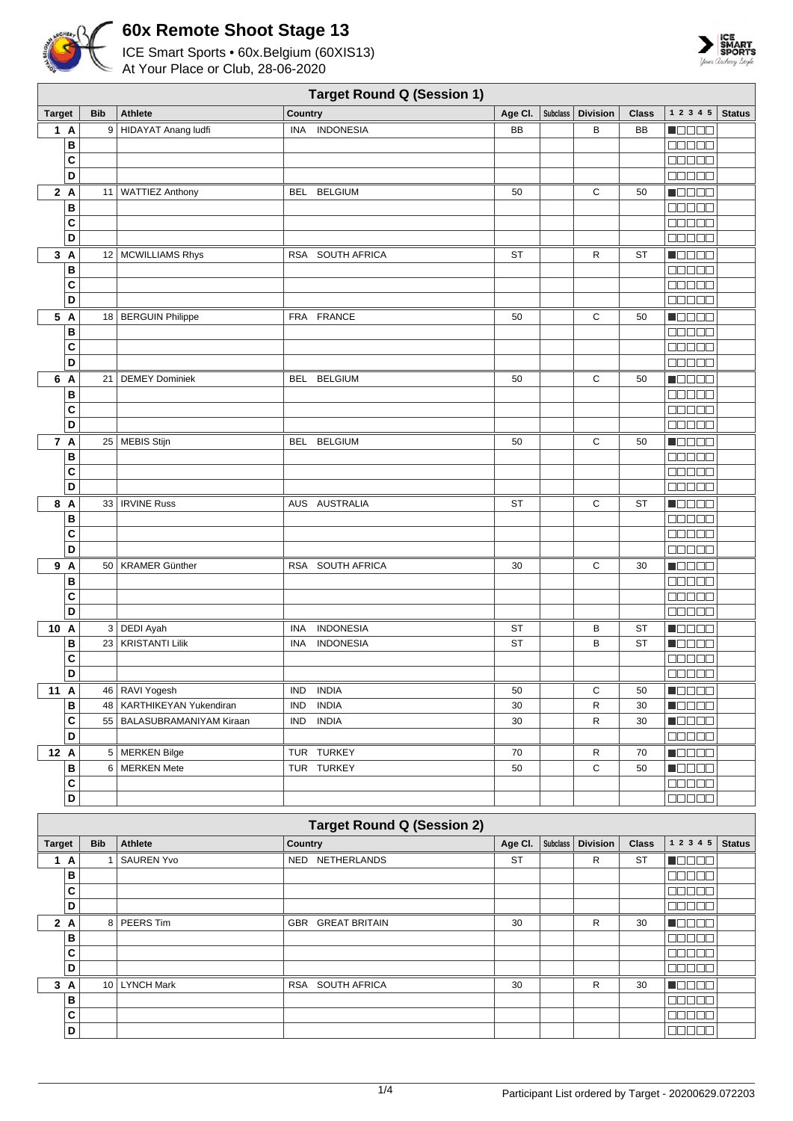



|                         | <b>Target Round Q (Session 1)</b> |                             |                            |             |          |                 |              |                                              |               |
|-------------------------|-----------------------------------|-----------------------------|----------------------------|-------------|----------|-----------------|--------------|----------------------------------------------|---------------|
| <b>Target</b>           | <b>Bib</b>                        | <b>Athlete</b>              | Country                    | Age Cl. $ $ | Subclass | <b>Division</b> | <b>Class</b> | 1 2 3 4 5                                    | <b>Status</b> |
| 1A                      |                                   | 9 HIDAYAT Anang ludfi       | INA INDONESIA              | <b>BB</b>   |          | B               | BB           | n de e e                                     |               |
| B                       |                                   |                             |                            |             |          |                 |              | <b>REBEE</b>                                 |               |
| C                       |                                   |                             |                            |             |          |                 |              | 00000                                        |               |
| D                       |                                   |                             |                            |             |          |                 |              | <b>00000</b>                                 |               |
| 2A                      |                                   | 11   WATTIEZ Anthony        | <b>BELGIUM</b><br>BEL      | 50          |          | С               | 50           | n 8888                                       |               |
| B                       |                                   |                             |                            |             |          |                 |              | an da a                                      |               |
| C                       |                                   |                             |                            |             |          |                 |              | e se se s                                    |               |
| D                       |                                   |                             |                            |             |          |                 |              | 80000                                        |               |
| 3A                      |                                   | 12 MCWILLIAMS Rhys          | RSA SOUTH AFRICA           | <b>ST</b>   |          | R               | ST           | Maaaa                                        |               |
| B                       |                                   |                             |                            |             |          |                 |              |                                              |               |
| C                       |                                   |                             |                            |             |          |                 |              | 00000                                        |               |
| D                       |                                   |                             |                            |             |          |                 |              | 00000                                        |               |
| 5 A                     |                                   | 18   BERGUIN Philippe       | FRA FRANCE                 | 50          |          | С               | 50           | N OO O O                                     |               |
| B                       |                                   |                             |                            |             |          |                 |              | 00000                                        |               |
| C                       |                                   |                             |                            |             |          |                 |              | 00000                                        |               |
| D                       |                                   |                             |                            |             |          |                 |              | <b>REBEE</b>                                 |               |
| 6 A                     | 21                                | <b>DEMEY Dominiek</b>       | <b>BELGIUM</b><br>BEL      | 50          |          | С               | 50           | <u> - Jose B</u>                             |               |
| B<br>C                  |                                   |                             |                            |             |          |                 |              | Ma sa s                                      |               |
| D                       |                                   |                             |                            |             |          |                 |              | 80000<br><b>00000</b>                        |               |
|                         |                                   |                             |                            |             |          |                 |              |                                              |               |
| 7 A                     |                                   | 25 MEBIS Stijn              | BEL BELGIUM                | 50          |          | C               | 50           | n 880a<br>00000                              |               |
| B<br>C                  |                                   |                             |                            |             |          |                 |              | <b>00000</b>                                 |               |
| D                       |                                   |                             |                            |             |          |                 |              | 00000                                        |               |
| 8 A                     |                                   | 33   IRVINE Russ            | AUS AUSTRALIA              | ST          |          | С               | <b>ST</b>    | n da a a                                     |               |
| B                       |                                   |                             |                            |             |          |                 |              |                                              |               |
| C                       |                                   |                             |                            |             |          |                 |              | <b>ODDDD</b>                                 |               |
| D                       |                                   |                             |                            |             |          |                 |              | <b>00000</b>                                 |               |
| 9 A                     |                                   | 50   KRAMER Günther         | RSA SOUTH AFRICA           | 30          |          | С               | 30           | Maaaa                                        |               |
| B                       |                                   |                             |                            |             |          |                 |              | $\Box$ $\Box$ $\Box$ $\Box$ $\Box$           |               |
| C                       |                                   |                             |                            |             |          |                 |              |                                              |               |
| D                       |                                   |                             |                            |             |          |                 |              | 00000                                        |               |
| 10 A                    |                                   | 3 DEDI Ayah                 | <b>INDONESIA</b><br>INA    | ST          |          | в               | ST           | <b>N</b> OOOO                                |               |
| B                       |                                   | 23   KRISTANTI Lilik        | INA<br><b>INDONESIA</b>    | ST          |          | B               | <b>ST</b>    | Maaaa                                        |               |
| C                       |                                   |                             |                            |             |          |                 |              | <b>MODOO</b>                                 |               |
| D                       |                                   |                             |                            |             |          |                 |              | <b>00000</b>                                 |               |
| 11 A                    |                                   | 46   RAVI Yogesh            | <b>INDIA</b><br>IND        | 50          |          | С               | 50           | <b>NGC 30</b>                                |               |
| $\, {\bf B}$            |                                   | 48   KARTHIKEYAN Yukendiran | <b>INDIA</b><br><b>IND</b> | 30          |          | ${\sf R}$       | 30           | <b>Reces</b>                                 |               |
| $\mathbf{C}$            |                                   | 55 BALASUBRAMANIYAM Kiraan  | IND INDIA                  | 30          |          | ${\sf R}$       | 30           | $\blacksquare$ $\square$ $\square$ $\square$ |               |
| $\overline{\mathsf{D}}$ |                                   |                             |                            |             |          |                 |              | $\Box\Box\Box\Box\Box$                       |               |
| 12 A                    |                                   | 5 MERKEN Bilge              | TUR TURKEY                 | 70          |          | $\mathsf{R}$    | 70           | <b>Reces</b>                                 |               |
| B                       |                                   | 6 MERKEN Mete               | TUR TURKEY                 | 50          |          | C               | 50           | $\blacksquare$                               |               |
| $\mathbf{C}$            |                                   |                             |                            |             |          |                 |              | 88888                                        |               |
| D                       |                                   |                             |                            |             |          |                 |              | 00000                                        |               |

| <b>Target Round Q (Session 2)</b> |            |                   |                                  |           |          |                 |              |            |               |
|-----------------------------------|------------|-------------------|----------------------------------|-----------|----------|-----------------|--------------|------------|---------------|
| <b>Target</b>                     | <b>Bib</b> | Athlete           | Country                          | Age Cl.   | Subclass | <b>Division</b> | <b>Class</b> | 1 2 3 4 5  | <b>Status</b> |
| 1<br>A                            |            | <b>SAUREN Yvo</b> | <b>NETHERLANDS</b><br><b>NED</b> | <b>ST</b> |          | R               | <b>ST</b>    |            |               |
| В                                 |            |                   |                                  |           |          |                 |              |            |               |
| C                                 |            |                   |                                  |           |          |                 |              |            |               |
| D                                 |            |                   |                                  |           |          |                 |              |            |               |
| 2A                                |            | 8 PEERS Tim       | <b>GBR GREAT BRITAIN</b>         | 30        |          | R               | 30           |            |               |
| в                                 |            |                   |                                  |           |          |                 |              |            |               |
| C                                 |            |                   |                                  |           |          |                 |              |            |               |
| D                                 |            |                   |                                  |           |          |                 |              | $\Box\Box$ |               |
| 3<br>A                            |            | 10 LYNCH Mark     | RSA SOUTH AFRICA                 | 30        |          | R               | 30           |            |               |
| в                                 |            |                   |                                  |           |          |                 |              |            |               |
| C                                 |            |                   |                                  |           |          |                 |              |            |               |
| D                                 |            |                   |                                  |           |          |                 |              |            |               |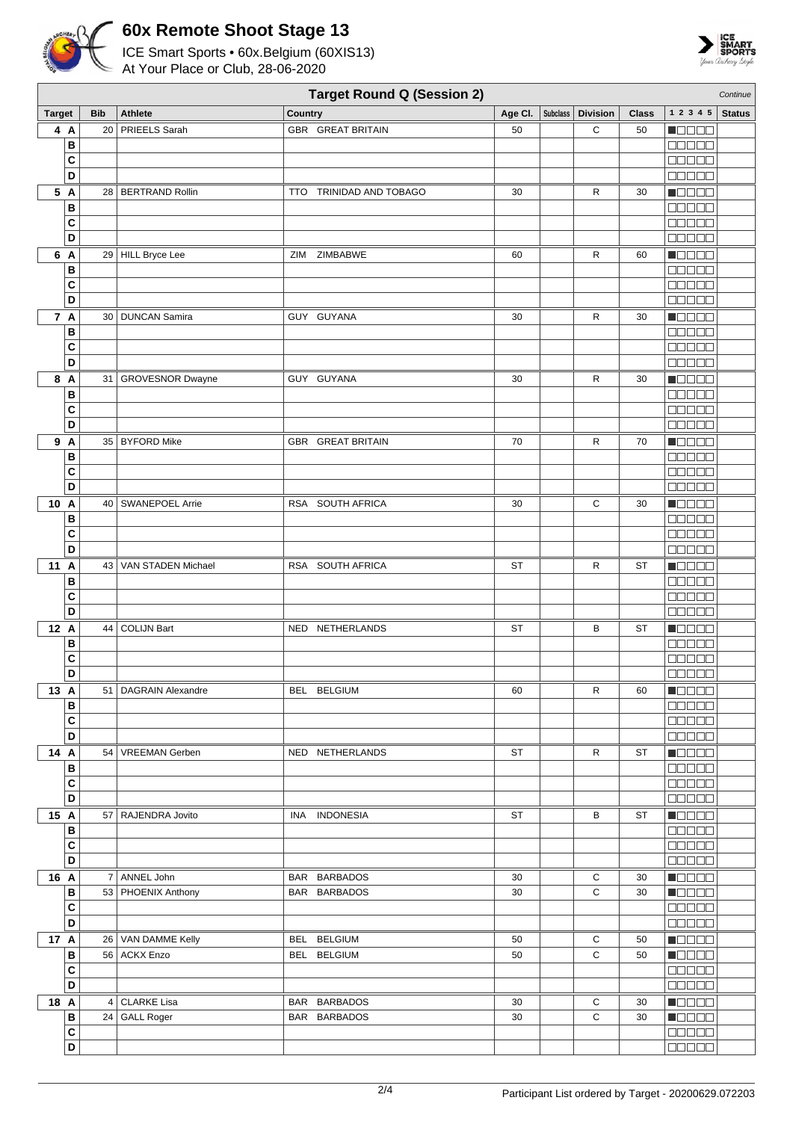



|                   | <b>Target Round Q (Session 2)</b><br>Continue |                         |                          |         |          |                 |              |                                                   |               |
|-------------------|-----------------------------------------------|-------------------------|--------------------------|---------|----------|-----------------|--------------|---------------------------------------------------|---------------|
| <b>Target</b>     | <b>Bib</b>                                    | Athlete                 | Country                  | Age CI. | Subclass | <b>Division</b> | <b>Class</b> | 1 2 3 4 5                                         | <b>Status</b> |
| 4 A               | 20 <sup>1</sup>                               | PRIEELS Sarah           | GBR GREAT BRITAIN        | 50      |          | C               | 50           | n da da                                           |               |
| B                 |                                               |                         |                          |         |          |                 |              | 88888                                             |               |
| C                 |                                               |                         |                          |         |          |                 |              | a a a a a                                         |               |
| D                 |                                               |                         |                          |         |          |                 |              | <b>BOBBB</b>                                      |               |
| 5 A               |                                               | 28   BERTRAND Rollin    | TTO TRINIDAD AND TOBAGO  | 30      |          | R               | 30           | N BE BE                                           |               |
| B                 |                                               |                         |                          |         |          |                 |              | <b>NODOD</b>                                      |               |
| C                 |                                               |                         |                          |         |          |                 |              | 00000                                             |               |
| D                 |                                               |                         |                          |         |          |                 |              | manaa                                             |               |
| 6 A               |                                               | 29 HILL Bryce Lee       | ZIMBABWE<br>ZIM          | 60      |          | R               | 60           | Maaaa                                             |               |
| B                 |                                               |                         |                          |         |          |                 |              | <b>NUUUU</b>                                      |               |
| C                 |                                               |                         |                          |         |          |                 |              | 00000                                             |               |
| D                 |                                               |                         |                          |         |          |                 |              | Ma Sela                                           |               |
| 7 A               | 30                                            | <b>DUNCAN Samira</b>    | GUY GUYANA               | 30      |          | R               | 30           | $\blacksquare$                                    |               |
| B                 |                                               |                         |                          |         |          |                 |              | aa aa a                                           |               |
| C                 |                                               |                         |                          |         |          |                 |              | 88888                                             |               |
| D                 |                                               |                         |                          |         |          |                 |              | <b>00000</b>                                      |               |
| 8 A               | 31                                            | <b>GROVESNOR Dwayne</b> | GUY GUYANA               | 30      |          | R               | 30           | N E E E E                                         |               |
| B                 |                                               |                         |                          |         |          |                 |              | 88888                                             |               |
| C<br>D            |                                               |                         |                          |         |          |                 |              | <b>BBBBB</b><br><b>DOODO</b>                      |               |
|                   |                                               |                         |                          |         |          |                 |              |                                                   |               |
| 9 A               |                                               | 35   BYFORD Mike        | <b>GBR GREAT BRITAIN</b> | 70      |          | R               | 70           | <b>M</b> OOOO<br>00000                            |               |
| В<br>C            |                                               |                         |                          |         |          |                 |              | 88888                                             |               |
| D                 |                                               |                         |                          |         |          |                 |              | <b>00000</b>                                      |               |
| 10A               |                                               | 40   SWANEPOEL Arrie    | RSA SOUTH AFRICA         | 30      |          | С               | 30           | <b>NGC 88</b>                                     |               |
| в                 |                                               |                         |                          |         |          |                 |              | $\Box$ $\Box$ $\Box$ $\Box$ $\Box$                |               |
| C                 |                                               |                         |                          |         |          |                 |              | 00000                                             |               |
| D                 |                                               |                         |                          |         |          |                 |              | 88888                                             |               |
| 11 A              | 43                                            | VAN STADEN Michael      | RSA SOUTH AFRICA         | ST      |          | R               | <b>ST</b>    | Maaaa                                             |               |
| в                 |                                               |                         |                          |         |          |                 |              | manaa                                             |               |
| C                 |                                               |                         |                          |         |          |                 |              | <b>NODOO</b>                                      |               |
| D                 |                                               |                         |                          |         |          |                 |              | a da da                                           |               |
| 12 A              | 44                                            | <b>COLIJN Bart</b>      | NED NETHERLANDS          | ST      |          | В               | <b>ST</b>    | $\blacksquare$ $\square$ $\square$ $\square$      |               |
| в                 |                                               |                         |                          |         |          |                 |              | a a a a a                                         |               |
| C                 |                                               |                         |                          |         |          |                 |              | 88888                                             |               |
| D                 |                                               |                         |                          |         |          |                 |              | 00000                                             |               |
| 13 A              |                                               | 51   DAGRAIN Alexandre  | BEL BELGIUM              | 60      |          | R               | 60           | $\blacksquare$                                    |               |
| в                 |                                               |                         |                          |         |          |                 |              | 88888                                             |               |
| C                 |                                               |                         |                          |         |          |                 |              | 00000                                             |               |
| D                 |                                               |                         |                          |         |          |                 |              | $\Box \Box \Box \Box \Box$                        |               |
| 14 A              |                                               | 54   VREEMAN Gerben     | NED NETHERLANDS          | ST      |          | $\mathsf{R}$    | ST           | $\blacksquare$ $\square$ $\square$ $\square$      |               |
| в                 |                                               |                         |                          |         |          |                 |              | 00000                                             |               |
| $\mathbf{C}$      |                                               |                         |                          |         |          |                 |              | 00000                                             |               |
| D                 |                                               |                         |                          |         |          |                 |              | 00000                                             |               |
| 15 A              |                                               | 57   RAJENDRA Jovito    | INA INDONESIA            | ST      |          | В               | ST           | $\blacksquare$ $\square$ $\square$ $\square$      |               |
| B<br>$\mathbf{C}$ |                                               |                         |                          |         |          |                 |              | 00000<br>00000                                    |               |
| D                 |                                               |                         |                          |         |          |                 |              | 00000                                             |               |
| 16 A              | $\overline{7}$                                | ANNEL John              | BAR BARBADOS             | 30      |          | С               | 30           | $\blacksquare$                                    |               |
| в                 |                                               | 53   PHOENIX Anthony    | BAR BARBADOS             | 30      |          | C               | 30           | <b>N</b> OODO                                     |               |
| $\mathbf{C}$      |                                               |                         |                          |         |          |                 |              | 88888                                             |               |
| D                 |                                               |                         |                          |         |          |                 |              | 00000                                             |               |
| 17 A              |                                               | 26   VAN DAMME Kelly    | BEL BELGIUM              | 50      |          | С               | 50           | $\blacksquare$ $\square$ $\square$ $\square$      |               |
| B                 |                                               | 56 ACKX Enzo            | BEL BELGIUM              | 50      |          | C               | 50           | <b>H</b> ebbe                                     |               |
| C                 |                                               |                         |                          |         |          |                 |              | 88888                                             |               |
| D                 |                                               |                         |                          |         |          |                 |              | 00000                                             |               |
| 18 A              |                                               | 4 CLARKE Lisa           | BAR BARBADOS             | 30      |          | С               | 30           | <b>Manag</b>                                      |               |
| в                 |                                               | 24 GALL Roger           | BAR BARBADOS             | 30      |          | C               | 30           | $\blacksquare$ $\square$ $\square$ $\blacksquare$ |               |
| $\mathbf{C}$      |                                               |                         |                          |         |          |                 |              | <b>00000</b>                                      |               |
| D                 |                                               |                         |                          |         |          |                 |              | 00000                                             |               |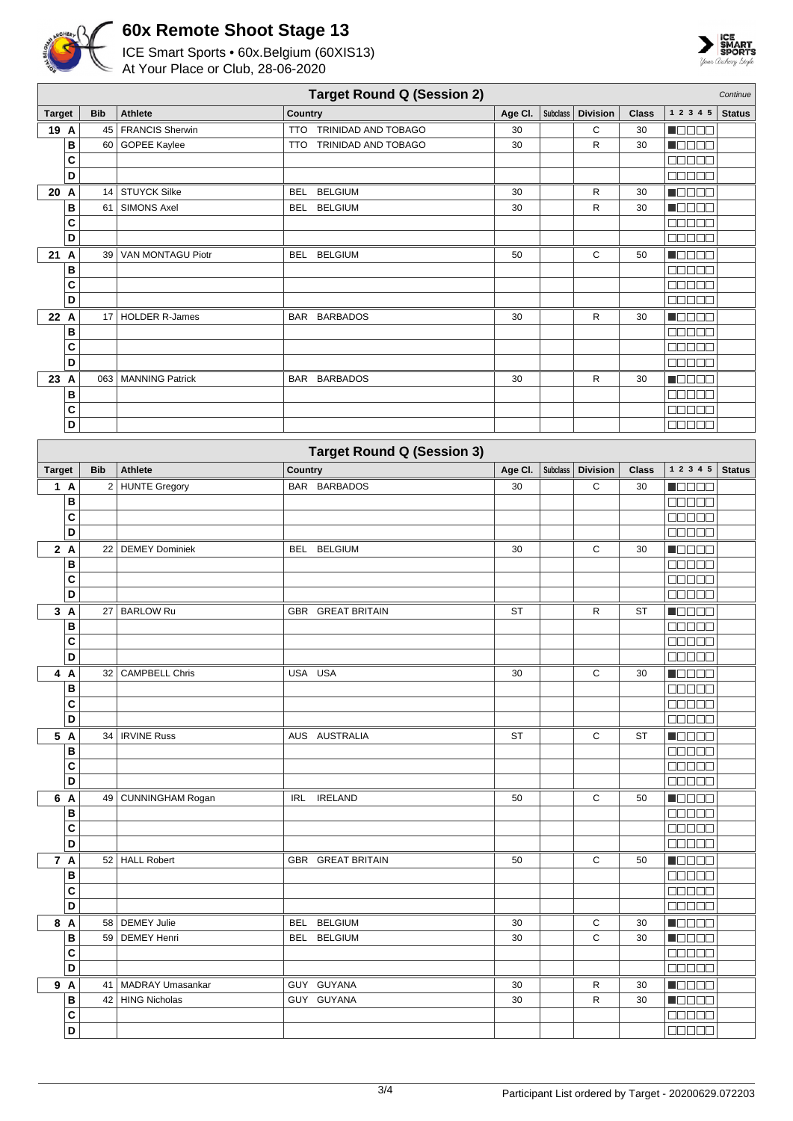



|               | <b>Target Round Q (Session 2)</b><br>Continue |            |                       |                                   |           |                 |                 |              |                                              |               |
|---------------|-----------------------------------------------|------------|-----------------------|-----------------------------------|-----------|-----------------|-----------------|--------------|----------------------------------------------|---------------|
| <b>Target</b> |                                               | <b>Bib</b> | <b>Athlete</b>        | Country                           | Age CI.   | <b>Subclass</b> | <b>Division</b> | <b>Class</b> | 1 2 3 4 5                                    | <b>Status</b> |
| 19 A          |                                               |            | 45   FRANCIS Sherwin  | TRINIDAD AND TOBAGO<br><b>TTO</b> | 30        |                 | С               | 30           | NO DE O                                      |               |
|               | B                                             |            | 60 GOPEE Kaylee       | TRINIDAD AND TOBAGO<br><b>TTO</b> | 30        |                 | R               | 30           | <b>M</b> OOOO                                |               |
|               | C                                             |            |                       |                                   |           |                 |                 |              | 00000                                        |               |
|               | D                                             |            |                       |                                   |           |                 |                 |              | <b>00000</b>                                 |               |
| 20 A          |                                               |            | 14 STUYCK Silke       | <b>BELGIUM</b><br><b>BEL</b>      | 30        |                 | R               | 30           | TOOOO                                        |               |
|               | В                                             | 61         | <b>SIMONS Axel</b>    | <b>BELGIUM</b><br><b>BEL</b>      | 30        |                 | R               | 30           | <b>NGC 20</b>                                |               |
|               | C                                             |            |                       |                                   |           |                 |                 |              | anaa a                                       |               |
|               | D                                             |            |                       |                                   |           |                 |                 |              | 00000                                        |               |
| 21 A          |                                               | 39         | VAN MONTAGU Piotr     | <b>BEL</b><br><b>BELGIUM</b>      | 50        |                 | С               | 50           | MOOO O                                       |               |
|               | В                                             |            |                       |                                   |           |                 |                 |              |                                              |               |
|               | C                                             |            |                       |                                   |           |                 |                 |              | 00000                                        |               |
|               | D                                             |            |                       |                                   |           |                 |                 |              | <b>ODOOO</b>                                 |               |
| 22 A          |                                               |            | 17   HOLDER R-James   | <b>BARBADOS</b><br>BAR            | 30        |                 | R               | 30           | MOO O O                                      |               |
|               | В                                             |            |                       |                                   |           |                 |                 |              | 00000                                        |               |
|               | C                                             |            |                       |                                   |           |                 |                 |              | 88888                                        |               |
|               | D                                             |            |                       |                                   |           |                 |                 |              | 00000                                        |               |
| 23 A          |                                               |            | 063   MANNING Patrick | BAR BARBADOS                      | 30        |                 | R               | 30           | $\blacksquare$                               |               |
|               | В                                             |            |                       |                                   |           |                 |                 |              | <b>00000</b>                                 |               |
|               | C                                             |            |                       |                                   |           |                 |                 |              | <b>00000</b>                                 |               |
|               | D                                             |            |                       |                                   |           |                 |                 |              |                                              |               |
|               |                                               |            |                       | <b>Target Round Q (Session 3)</b> |           |                 |                 |              |                                              |               |
| <b>Target</b> |                                               | <b>Bib</b> | Athlete               | Country                           | Age Cl.   | <b>Subclass</b> | <b>Division</b> | <b>Class</b> | 1 2 3 4 5                                    | <b>Status</b> |
|               | 1 A                                           |            | 2 HUNTE Gregory       | BAR BARBADOS                      | 30        |                 | С               | 30           | <b>NBBBB</b>                                 |               |
|               | B                                             |            |                       |                                   |           |                 |                 |              |                                              |               |
|               | C                                             |            |                       |                                   |           |                 |                 |              | 00000                                        |               |
|               | D                                             |            |                       |                                   |           |                 |                 |              | <b>COLOR</b>                                 |               |
|               | 2A                                            |            | 22   DEMEY Dominiek   | <b>BELGIUM</b><br><b>BEL</b>      | 30        |                 | С               | 30           | MOO O O                                      |               |
|               | B                                             |            |                       |                                   |           |                 |                 |              | <b>DODDO</b>                                 |               |
|               | C                                             |            |                       |                                   |           |                 |                 |              | $\Box$ $\Box$ $\Box$ $\Box$                  |               |
|               | D                                             |            |                       |                                   |           |                 |                 |              | 00000                                        |               |
|               | 3A                                            |            | 27 BARLOW Ru          | <b>GBR GREAT BRITAIN</b>          | <b>ST</b> |                 | R               | <b>ST</b>    | <b>M</b> OOOC                                |               |
|               | B                                             |            |                       |                                   |           |                 |                 |              | 00000                                        |               |
|               | C                                             |            |                       |                                   |           |                 |                 |              | <b>00000</b>                                 |               |
|               | D                                             |            |                       |                                   |           |                 |                 |              | <b>REBER</b>                                 |               |
|               | 4A                                            |            | 32   CAMPBELL Chris   | USA USA                           | 30        |                 | С               | 30           | <b>REGEE</b>                                 |               |
|               | В                                             |            |                       |                                   |           |                 |                 |              | $\Box$                                       |               |
|               | C                                             |            |                       |                                   |           |                 |                 |              | <b>00000</b>                                 |               |
|               | D                                             |            |                       |                                   |           |                 |                 |              | <b>BEEBE</b>                                 |               |
|               | 5 A                                           |            | 34   IRVINE Russ      | AUS AUSTRALIA                     | <b>ST</b> |                 | С               | ST           | $\blacksquare$                               |               |
|               | В                                             |            |                       |                                   |           |                 |                 |              | 00000                                        |               |
|               | C                                             |            |                       |                                   |           |                 |                 |              | $\Box$                                       |               |
|               | D                                             |            |                       |                                   |           |                 |                 |              | 00000                                        |               |
|               | 6 A                                           |            | 49   CUNNINGHAM Rogan | IRL IRELAND                       | 50        |                 | C               | 50           | Maaaa                                        |               |
|               | B                                             |            |                       |                                   |           |                 |                 |              | <b>BEBEE</b>                                 |               |
|               | C                                             |            |                       |                                   |           |                 |                 |              | $\Box \Box \Box \Box \Box$                   |               |
|               | D                                             |            |                       |                                   |           |                 |                 |              |                                              |               |
|               | 7 A                                           |            | 52 HALL Robert        | <b>GBR GREAT BRITAIN</b>          | 50        |                 | C               | 50           | <b>NODOO</b>                                 |               |
|               | B                                             |            |                       |                                   |           |                 |                 |              | $\Box$ $\Box$ $\Box$ $\Box$                  |               |
|               | C                                             |            |                       |                                   |           |                 |                 |              | <b>BEBEE</b>                                 |               |
|               | D                                             |            |                       |                                   |           |                 |                 |              | 00000                                        |               |
|               | 8 A                                           |            | 58 DEMEY Julie        | <b>BELGIUM</b><br>BEL             | 30        |                 | $\mathbf C$     | 30           | <b>Macao</b>                                 |               |
|               | В                                             |            | 59 DEMEY Henri        | BEL BELGIUM                       | 30        |                 | C               | 30           | $\blacksquare$ $\square$ $\square$ $\square$ |               |
|               | C                                             |            |                       |                                   |           |                 |                 |              | <b>BBBBB</b>                                 |               |
|               | D                                             |            |                       |                                   |           |                 |                 |              | 88888                                        |               |
|               | 9 A                                           |            | 41   MADRAY Umasankar | GUY GUYANA                        | 30        |                 | R               | 30           | <b>MODOO</b>                                 |               |
|               | В                                             |            | 42   HING Nicholas    | GUY GUYANA                        | 30        |                 | R               | 30           | <b>H</b> OOOO                                |               |
|               | C<br>$\overline{\mathsf{D}}$                  |            |                       |                                   |           |                 |                 |              | 88888                                        |               |
|               |                                               |            |                       |                                   |           |                 |                 |              | <b>00000</b>                                 |               |